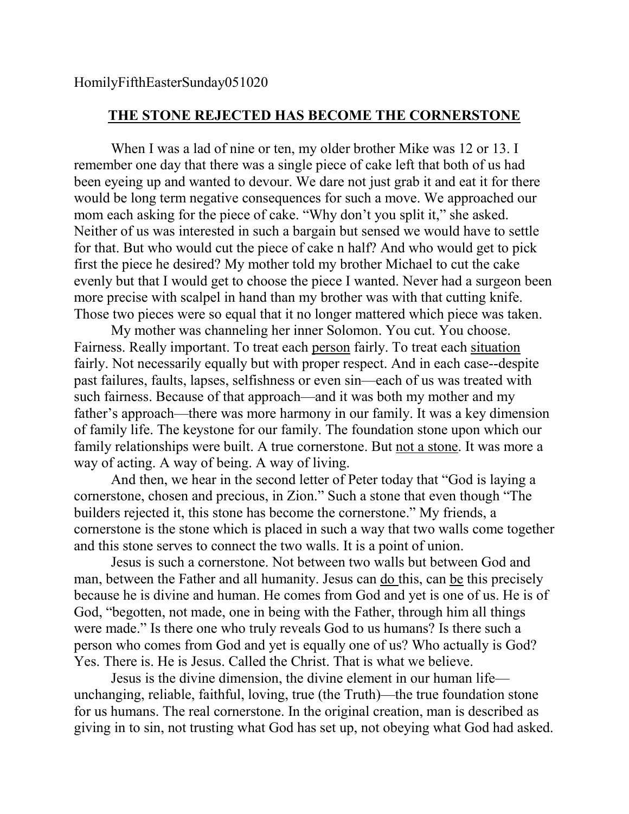## **THE STONE REJECTED HAS BECOME THE CORNERSTONE**

When I was a lad of nine or ten, my older brother Mike was 12 or 13. I remember one day that there was a single piece of cake left that both of us had been eyeing up and wanted to devour. We dare not just grab it and eat it for there would be long term negative consequences for such a move. We approached our mom each asking for the piece of cake. "Why don't you split it," she asked. Neither of us was interested in such a bargain but sensed we would have to settle for that. But who would cut the piece of cake n half? And who would get to pick first the piece he desired? My mother told my brother Michael to cut the cake evenly but that I would get to choose the piece I wanted. Never had a surgeon been more precise with scalpel in hand than my brother was with that cutting knife. Those two pieces were so equal that it no longer mattered which piece was taken.

My mother was channeling her inner Solomon. You cut. You choose. Fairness. Really important. To treat each person fairly. To treat each situation fairly. Not necessarily equally but with proper respect. And in each case--despite past failures, faults, lapses, selfishness or even sin—each of us was treated with such fairness. Because of that approach—and it was both my mother and my father's approach—there was more harmony in our family. It was a key dimension of family life. The keystone for our family. The foundation stone upon which our family relationships were built. A true cornerstone. But not a stone. It was more a way of acting. A way of being. A way of living.

And then, we hear in the second letter of Peter today that "God is laying a cornerstone, chosen and precious, in Zion." Such a stone that even though "The builders rejected it, this stone has become the cornerstone." My friends, a cornerstone is the stone which is placed in such a way that two walls come together and this stone serves to connect the two walls. It is a point of union.

Jesus is such a cornerstone. Not between two walls but between God and man, between the Father and all humanity. Jesus can do this, can be this precisely because he is divine and human. He comes from God and yet is one of us. He is of God, "begotten, not made, one in being with the Father, through him all things were made." Is there one who truly reveals God to us humans? Is there such a person who comes from God and yet is equally one of us? Who actually is God? Yes. There is. He is Jesus. Called the Christ. That is what we believe.

Jesus is the divine dimension, the divine element in our human life unchanging, reliable, faithful, loving, true (the Truth)—the true foundation stone for us humans. The real cornerstone. In the original creation, man is described as giving in to sin, not trusting what God has set up, not obeying what God had asked.